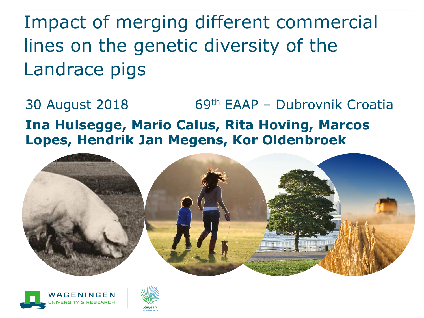Impact of merging different commercial lines on the genetic diversity of the Landrace pigs

30 August 2018 69th EAAP – Dubrovnik Croatia **Ina Hulsegge, Mario Calus, Rita Hoving, Marcos Lopes, Hendrik Jan Megens, Kor Oldenbroek**





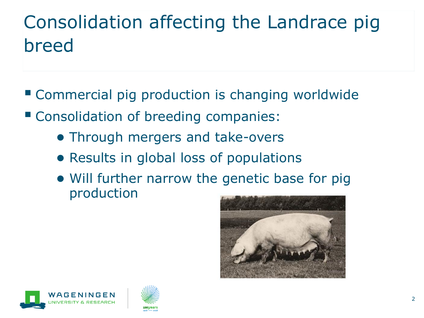# Consolidation affecting the Landrace pig breed

- Commercial pig production is changing worldwide
- Consolidation of breeding companies:
	- Through mergers and take-overs
	- Results in global loss of populations
	- Will further narrow the genetic base for pig production





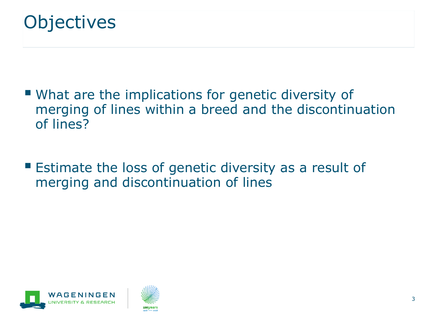

- What are the implications for genetic diversity of merging of lines within a breed and the discontinuation of lines?
- Estimate the loss of genetic diversity as a result of merging and discontinuation of lines



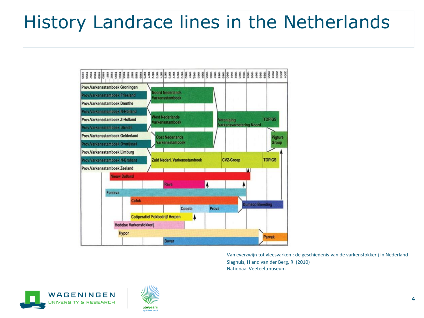## History Landrace lines in the Netherlands



Van everzwijn tot vleesvarken : de geschiedenis van de varkensfokkerij in Nederland Slaghuis, H and van der Berg, R. (2010) Nationaal Veeteeltmuseum



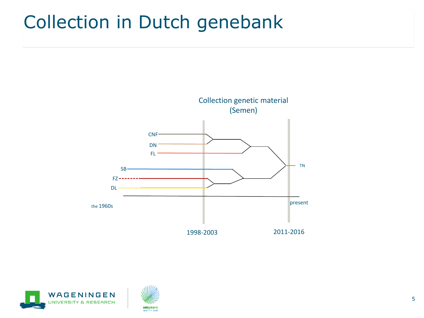#### Collection in Dutch genebank





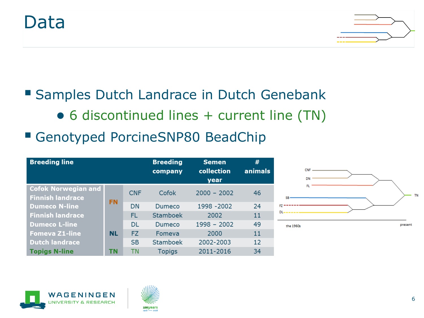#### Data



#### **Samples Dutch Landrace in Dutch Genebank** ● 6 discontinued lines + current line (TN)

■ Genotyped PorcineSNP80 BeadChip

| <b>Breeding line</b>                                  |           |            | <b>Breeding</b><br>company | <b>Semen</b><br>collection<br>year | #<br>animals |
|-------------------------------------------------------|-----------|------------|----------------------------|------------------------------------|--------------|
| <b>Cofok Norwegian and</b><br><b>Finnish landrace</b> | <b>FN</b> | <b>CNF</b> | Cofok                      | $2000 - 2002$                      | 46           |
| <b>Dumeco N-line</b>                                  |           | <b>DN</b>  | Dumeco                     | 1998 - 2002                        | 24           |
| <b>Finnish landrace</b>                               |           | FL         | Stamboek                   | 2002                               | 11           |
| <b>Dumeco L-line</b>                                  | <b>NL</b> | <b>DL</b>  | Dumeco                     | $1998 - 2002$                      | 49           |
| <b>Fomeva Z1-line</b>                                 |           | <b>FZ</b>  | Fomeva                     | 2000                               | 11           |
| <b>Dutch landrace</b>                                 |           | <b>SB</b>  | Stamboek                   | 2002-2003                          | 12           |
| <b>Topigs N-line</b>                                  | ΤN        | ΤN         | Topigs                     | 2011-2016                          | 34           |





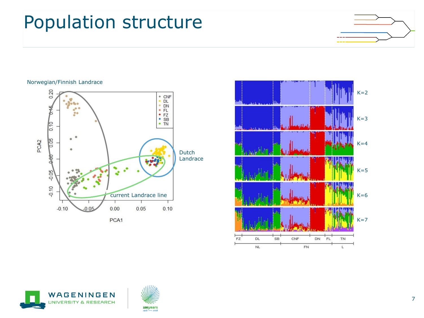#### Population structure



#### Norwegian/Finnish Landrace







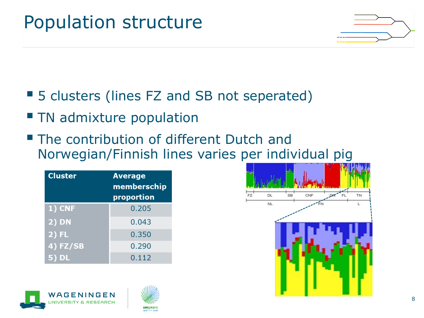## Population structure



- 5 clusters (lines FZ and SB not seperated)
- **TH** admixture population
- The contribution of different Dutch and Norwegian/Finnish lines varies per individual pig

| <b>Cluster</b>      | <b>Average</b><br>memberschip<br>proportion |
|---------------------|---------------------------------------------|
| 1) CNF              | 0.205                                       |
| $\overline{2}$ ) DN | 0.043                                       |
| $2)$ FL             | 0.350                                       |
| $4)$ FZ/SB          | 0.290                                       |
| 5) DL               | 0.112                                       |





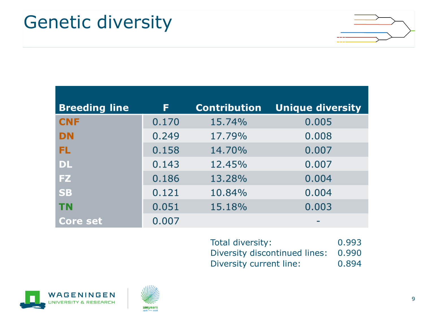#### Genetic diversity



| <b>Breeding line</b> | F     | <b>Contribution</b> | <b>Unique diversity</b> |
|----------------------|-------|---------------------|-------------------------|
| <b>CNF</b>           | 0.170 | 15.74%              | 0.005                   |
| <b>DN</b>            | 0.249 | 17.79%              | 0.008                   |
| FL                   | 0.158 | 14.70%              | 0.007                   |
| <b>DL</b>            | 0.143 | 12.45%              | 0.007                   |
| <b>FZ</b>            | 0.186 | 13.28%              | 0.004                   |
| <b>SB</b>            | 0.121 | 10.84%              | 0.004                   |
| <b>TN</b>            | 0.051 | 15.18%              | 0.003                   |
| <b>Core set</b>      | 0.007 |                     |                         |

| Total diversity:              | 0.993 |
|-------------------------------|-------|
| Diversity discontinued lines: | 0.990 |
| Diversity current line:       | 0.894 |



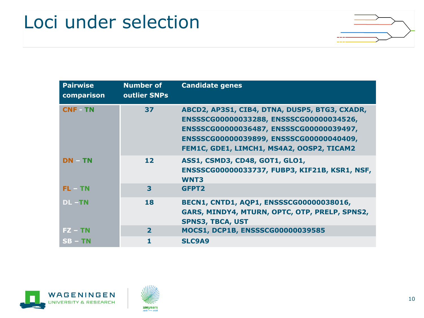### Loci under selection



| <b>Pairwise</b><br>comparison | <b>Number of</b><br>outlier SNPs | <b>Candidate genes</b>                                                                                                                                                                                                      |
|-------------------------------|----------------------------------|-----------------------------------------------------------------------------------------------------------------------------------------------------------------------------------------------------------------------------|
| <b>CNF TN</b>                 | 37                               | ABCD2, AP3S1, CIB4, DTNA, DUSP5, BTG3, CXADR,<br>ENSSSCG00000033288, ENSSSCG00000034526,<br>ENSSSCG00000036487, ENSSSCG00000039497,<br>ENSSSCG00000039899, ENSSSCG00000040409,<br>FEM1C, GDE1, LIMCH1, MS4A2, OOSP2, TICAM2 |
| <b>DN TN</b>                  | 12 <sub>1</sub>                  | ASS1, CSMD3, CD48, GOT1, GLO1,<br>ENSSSCG00000033737, FUBP3, KIF21B, KSR1, NSF,<br><b>WNT3</b>                                                                                                                              |
| $FL = TN$                     | 3                                | GFPT <sub>2</sub>                                                                                                                                                                                                           |
| $DL - TN$                     | 18                               | BECN1, CNTD1, AQP1, ENSSSCG00000038016,<br>GARS, MINDY4, MTURN, OPTC, OTP, PRELP, SPNS2,<br><b>SPNS3, TBCA, UST</b>                                                                                                         |
| $FZ - TN$                     | $\overline{\mathbf{2}}$          | MOCS1, DCP1B, ENSSSCG00000039585                                                                                                                                                                                            |
| $SB - TN$                     |                                  | <b>SLC9A9</b>                                                                                                                                                                                                               |



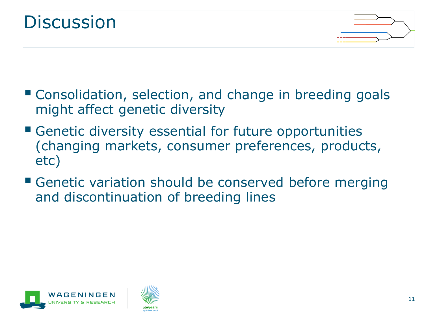



- Consolidation, selection, and change in breeding goals might affect genetic diversity
- **E** Genetic diversity essential for future opportunities (changing markets, consumer preferences, products, etc)
- **E** Genetic variation should be conserved before merging and discontinuation of breeding lines



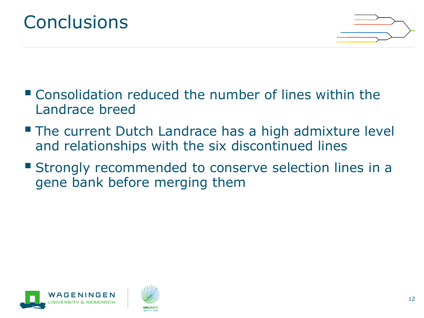



- Consolidation reduced the number of lines within the Landrace breed
- **The current Dutch Landrace has a high admixture level** and relationships with the six discontinued lines
- **Examply recommended to conserve selection lines in a** gene bank before merging them



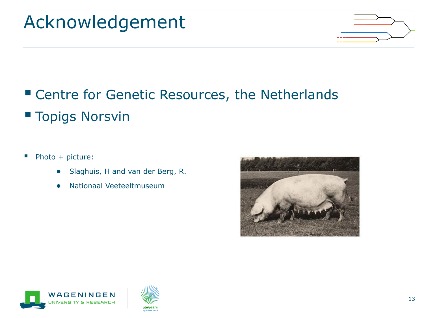## Acknowledgement



#### ■ Centre for Genetic Resources, the Netherlands ■ Topigs Norsvin

#### ■ Photo + picture:

- Slaghuis, H and van der Berg, R.
- Nationaal Veeteeltmuseum